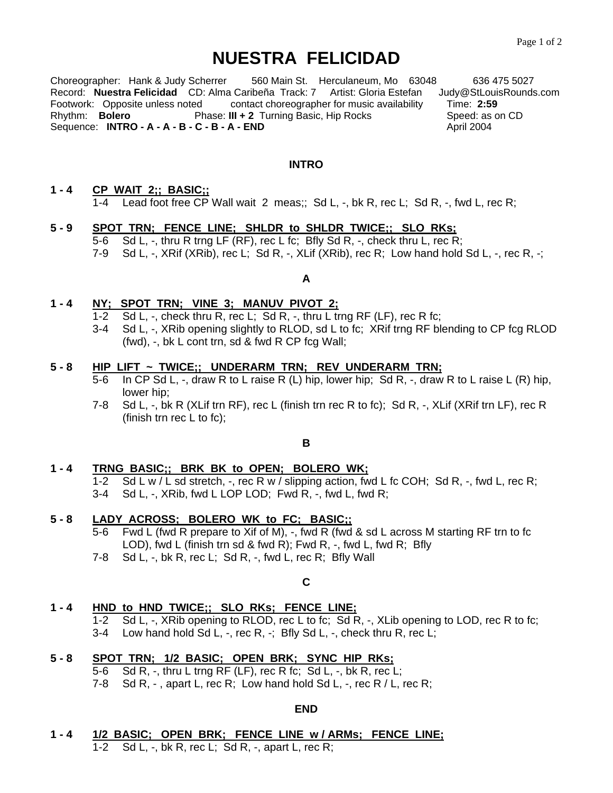# **NUESTRA FELICIDAD**

Choreographer: Hank & Judy Scherrer 560 Main St. Herculaneum, Mo 63048 636 475 5027 Record: **Nuestra Felicidad** CD: Alma Caribeña Track: 7 Artist: Gloria Estefan Judy@StLouisRounds.com<br>Footwork: Opposite unless noted contact choreographer for music availability Time: 2:59 Footwork: Opposite unless noted contact choreographer for music availability Time: **2:59**  Phase: **III + 2** Turning Basic, Hip Rocks Sequence: **INTRO - A - A - B - C - B - A - END** April 2004

#### **INTRO**

#### **1 - 4 CP WAIT 2;; BASIC;;**  1-4 Lead foot free CP Wall wait 2 meas;; Sd L, -, bk R, rec L; Sd R, -, fwd L, rec R;

### **5 - 9 SPOT TRN; FENCE LINE; SHLDR to SHLDR TWICE;; SLO RKs;**

- 5-6 Sd L, -, thru R trng LF (RF), rec L fc; Bfly Sd R, -, check thru L, rec R;
- 7-9 Sd L, -, XRif (XRib), rec L; Sd R, -, XLif (XRib), rec R; Low hand hold Sd L, -, rec R, -;

### **A**

#### **1 - 4 NY; SPOT TRN; VINE 3; MANUV PIVOT 2;**

- 1-2 Sd L, -, check thru R, rec L; Sd R, -, thru L trng RF (LF), rec R fc;
- 3-4 Sd L, -, XRib opening slightly to RLOD, sd L to fc; XRif trng RF blending to CP fcg RLOD (fwd), -, bk L cont trn, sd & fwd R CP fcg Wall;

#### **5 - 8 HIP LIFT ~ TWICE;; UNDERARM TRN; REV UNDERARM TRN;**

- 5-6 In CP Sd L, -, draw R to L raise R (L) hip, lower hip; Sd R, -, draw R to L raise L (R) hip, lower hip;
- 7-8 Sd L, -, bk R (XLif trn RF), rec L (finish trn rec R to fc); Sd R, -, XLif (XRif trn LF), rec R (finish trn rec L to fc);

### **B**

#### **1 - 4 TRNG BASIC;; BRK BK to OPEN; BOLERO WK;**

1-2 Sd L w / L sd stretch, -, rec R w / slipping action, fwd L fc COH; Sd R, -, fwd L, rec R; 3-4 Sd L, -, XRib, fwd L LOP LOD; Fwd R, -, fwd L, fwd R;

#### **5 - 8 LADY ACROSS; BOLERO WK to FC; BASIC;;**

- 5-6 Fwd L (fwd R prepare to Xif of M), -, fwd R (fwd & sd L across M starting RF trn to fc LOD), fwd L (finish trn sd & fwd R); Fwd R, -, fwd L, fwd R; Bfly
- 7-8 Sd L, -, bk R, rec L; Sd R, -, fwd L, rec R; Bfly Wall

#### **C**

#### **1 - 4 HND to HND TWICE;; SLO RKs; FENCE LINE;**

 1-2 Sd L, -, XRib opening to RLOD, rec L to fc; Sd R, -, XLib opening to LOD, rec R to fc; 3-4 Low hand hold Sd L, -, rec R, -; Bfly Sd L, -, check thru R, rec L;

#### **5 - 8 SPOT TRN; 1/2 BASIC; OPEN BRK; SYNC HIP RKs;**

- 5-6 Sd R, -, thru L trng RF (LF), rec R fc; Sd L, -, bk R, rec L;
- 7-8 Sd R, , apart L, rec R; Low hand hold Sd L, -, rec R / L, rec R;

#### **END**

**1 - 4 1/2 BASIC; OPEN BRK; FENCE LINE w / ARMs; FENCE LINE;**  1-2 Sd L, -, bk R, rec L; Sd R, -, apart L, rec R;